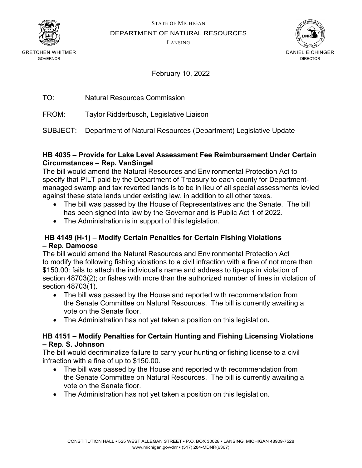

STATE OF MICHIGAN

DEPARTMENT OF NATURAL RESOURCES

LANSING



GRETCHEN WHITMER GOVERNOR

# February 10, 2022

| <b>Natural Resources Commission</b> |
|-------------------------------------|
|                                     |

FROM: Taylor Ridderbusch, Legislative Liaison

SUBJECT: Department of Natural Resources (Department) Legislative Update

#### **HB 4035 – Provide for Lake Level Assessment Fee Reimbursement Under Certain Circumstances – Rep. VanSingel**

The bill would amend the Natural Resources and Environmental Protection Act to specify that PILT paid by the Department of Treasury to each county for Departmentmanaged swamp and tax reverted lands is to be in lieu of all special assessments levied against these state lands under existing law, in addition to all other taxes.

- The bill was passed by the House of Representatives and the Senate. The bill has been signed into law by the Governor and is Public Act 1 of 2022.
- The Administration is in support of this legislation.

# **HB 4149 (H-1) – Modify Certain Penalties for Certain Fishing Violations – Rep. Damoose**

The bill would amend the Natural Resources and Environmental Protection Act to modify the following fishing violations to a civil infraction with a fine of not more than \$150.00: fails to attach the individual's name and address to tip-ups in violation of section 48703(2); or fishes with more than the authorized number of lines in violation of section 48703(1).

- The bill was passed by the House and reported with recommendation from the Senate Committee on Natural Resources. The bill is currently awaiting a vote on the Senate floor.
- The Administration has not yet taken a position on this legislation**.**

#### **HB 4151 – Modify Penalties for Certain Hunting and Fishing Licensing Violations – Rep. S. Johnson**

The bill would decriminalize failure to carry your hunting or fishing license to a civil infraction with a fine of up to \$150.00.

- The bill was passed by the House and reported with recommendation from the Senate Committee on Natural Resources. The bill is currently awaiting a vote on the Senate floor.
- The Administration has not yet taken a position on this legislation.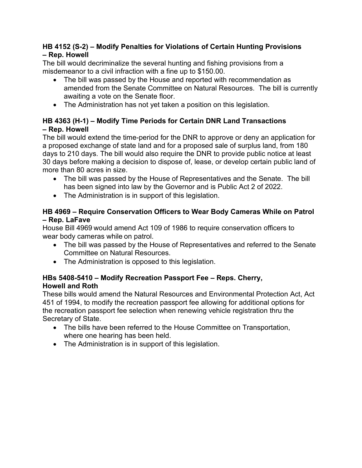# **HB 4152 (S-2) – Modify Penalties for Violations of Certain Hunting Provisions – Rep. Howell**

The bill would decriminalize the several hunting and fishing provisions from a misdemeanor to a civil infraction with a fine up to \$150.00.

- The bill was passed by the House and reported with recommendation as amended from the Senate Committee on Natural Resources. The bill is currently awaiting a vote on the Senate floor.
- The Administration has not yet taken a position on this legislation.

# **HB 4363 (H-1) – Modify Time Periods for Certain DNR Land Transactions – Rep. Howell**

The bill would extend the time-period for the DNR to approve or deny an application for a proposed exchange of state land and for a proposed sale of surplus land, from 180 days to 210 days. The bill would also require the DNR to provide public notice at least 30 days before making a decision to dispose of, lease, or develop certain public land of more than 80 acres in size.

- The bill was passed by the House of Representatives and the Senate. The bill has been signed into law by the Governor and is Public Act 2 of 2022.
- The Administration is in support of this legislation.

# **HB 4969 – Require Conservation Officers to Wear Body Cameras While on Patrol – Rep. LaFave**

House Bill 4969 would amend Act 109 of 1986 to require conservation officers to wear body cameras while on patrol.

- The bill was passed by the House of Representatives and referred to the Senate Committee on Natural Resources.
- The Administration is opposed to this legislation.

# **HBs 5408-5410 – Modify Recreation Passport Fee – Reps. Cherry, Howell and Roth**

These bills would amend the Natural Resources and Environmental Protection Act, Act 451 of 1994, to modify the recreation passport fee allowing for additional options for the recreation passport fee selection when renewing vehicle registration thru the Secretary of State.

- The bills have been referred to the House Committee on Transportation, where one hearing has been held.
- The Administration is in support of this legislation.